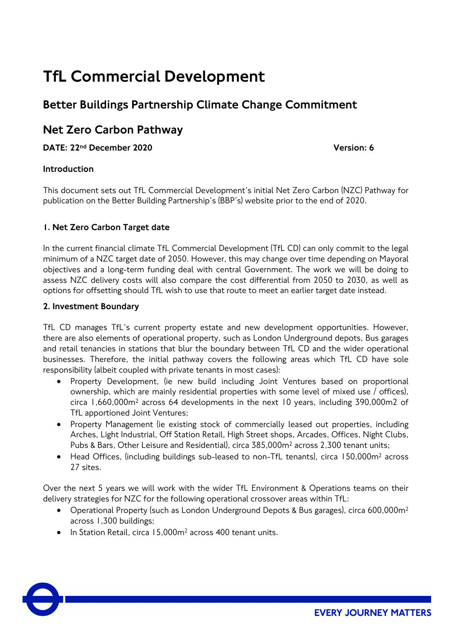# TfL Commercial Development

# Better Buildings Partnership Climate Change Commitment

## Net Zero Carbon Pathway

DATE: 22nd December 2020 Version: 6

#### Introduction

This document sets out TfL Commercial Development's initial Net Zero Carbon (NZC) Pathway for publication on the Better Building Partnership's (BBP's) website prior to the end of 2020.

#### 1. Net Zero Carbon Target date

In the current financial climate TfL Commercial Development (TfL CD) can only commit to the legal minimum of a NZC target date of 2050. However, this may change over time depending on Mayoral objectives and a long-term funding deal with central Government. The work we will be doing to assess NZC delivery costs will also compare the cost differential from 2050 to 2030, as well as options for offsetting should TfL wish to use that route to meet an earlier target date instead.

#### 2. Investment Boundary

TfL CD manages TfL's current property estate and new development opportunities. However, there are also elements of operational property, such as London Underground depots, Bus garages and retail tenancies in stations that blur the boundary between TfL CD and the wider operational businesses. Therefore, the initial pathway covers the following areas which TfL CD have sole responsibility (albeit coupled with private tenants in most cases):

- Property Development, (ie new build including Joint Ventures based on proportional ownership, which are mainly residential properties with some level of mixed use / offices), circa 1,660,000m2 across 64 developments in the next 10 years, including 390,000m2 of TfL apportioned Joint Ventures;
- Property Management (ie existing stock of commercially leased out properties, including Arches, Light Industrial, Off Station Retail, High Street shops, Arcades, Offices, Night Clubs, Pubs & Bars, Other Leisure and Residential), circa 385,000m2 across 2,300 tenant units;
- Head Offices, (including buildings sub-leased to non-TfL tenants), circa 150,000m<sup>2</sup> across 27 sites.

Over the next 5 years we will work with the wider TfL Environment & Operations teams on their delivery strategies for NZC for the following operational crossover areas within TfL:

- Operational Property (such as London Underground Depots & Bus garages), circa 600,000m<sup>2</sup> across 1,300 buildings;
- In Station Retail, circa 15,000m2 across 400 tenant units.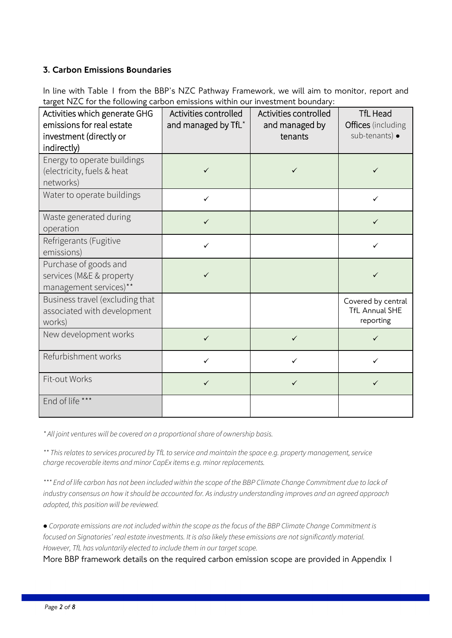#### 3. Carbon Emissions Boundaries

In line with Table 1 from the BBP's NZC Pathway Framework, we will aim to monitor, report and target NZC for the following carbon emissions within our investment boundary:

| Activities which generate GHG<br>emissions for real estate<br>investment (directly or<br>indirectly) | Activities controlled<br>and managed by TfL* | Activities controlled<br>and managed by<br>tenants | <b>TfL Head</b><br>Offices (including<br>sub-tenants) ·  |
|------------------------------------------------------------------------------------------------------|----------------------------------------------|----------------------------------------------------|----------------------------------------------------------|
| Energy to operate buildings<br>(electricity, fuels & heat<br>networks)                               | $\checkmark$                                 | ✓                                                  | $\checkmark$                                             |
| Water to operate buildings                                                                           | $\checkmark$                                 |                                                    | $\checkmark$                                             |
| Waste generated during<br>operation                                                                  | $\checkmark$                                 |                                                    | $\checkmark$                                             |
| Refrigerants (Fugitive<br>emissions)                                                                 | $\checkmark$                                 |                                                    | $\checkmark$                                             |
| Purchase of goods and<br>services (M&E & property<br>management services)**                          | $\checkmark$                                 |                                                    | ✓                                                        |
| Business travel (excluding that<br>associated with development<br>works)                             |                                              |                                                    | Covered by central<br><b>TfL Annual SHE</b><br>reporting |
| New development works                                                                                | $\checkmark$                                 | $\checkmark$                                       | $\checkmark$                                             |
| Refurbishment works                                                                                  | ✓                                            | ✓                                                  | ✓                                                        |
| Fit-out Works                                                                                        | ✓                                            |                                                    | ✓                                                        |
| End of life ***                                                                                      |                                              |                                                    |                                                          |

*\* All joint ventures will be covered on a proportional share of ownership basis.*

*\*\* This relates to services procured by TfL to service and maintain the space e.g. property management, service charge recoverable items and minor CapEx items e.g. minor replacements.* 

*\*\*\* End of life carbon has not been included within the scope of the BBP Climate Change Commitment due to lack of industry consensus on how it should be accounted for. As industry understanding improves and an agreed approach adopted, this position will be reviewed.*

*● Corporate emissions are not included within the scope as the focus of the BBP Climate Change Commitment is focused on Signatories' real estate investments. It is also likely these emissions are not significantly material. However, TfL has voluntarily elected to include them in our target scope.*

More BBP framework details on the required carbon emission scope are provided in Appendix 1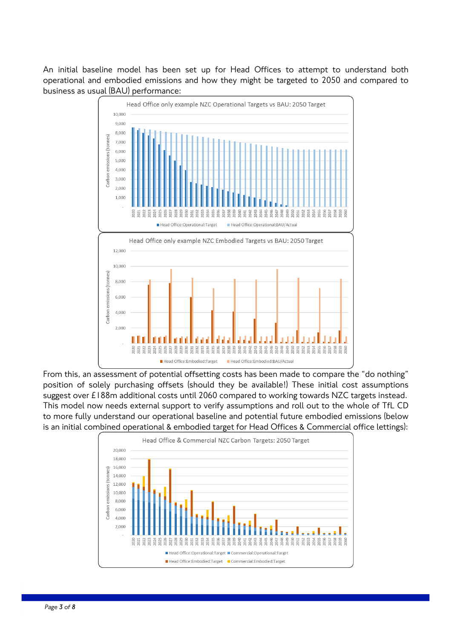An initial baseline model has been set up for Head Offices to attempt to understand both operational and embodied emissions and how they might be targeted to 2050 and compared to business as usual (BAU) performance:



From this, an assessment of potential offsetting costs has been made to compare the "do nothing" position of solely purchasing offsets (should they be available!) These initial cost assumptions suggest over £188m additional costs until 2060 compared to working towards NZC targets instead. This model now needs external support to verify assumptions and roll out to the whole of TfL CD to more fully understand our operational baseline and potential future embodied emissions (below is an initial combined operational & embodied target for Head Offices & Commercial office lettings):

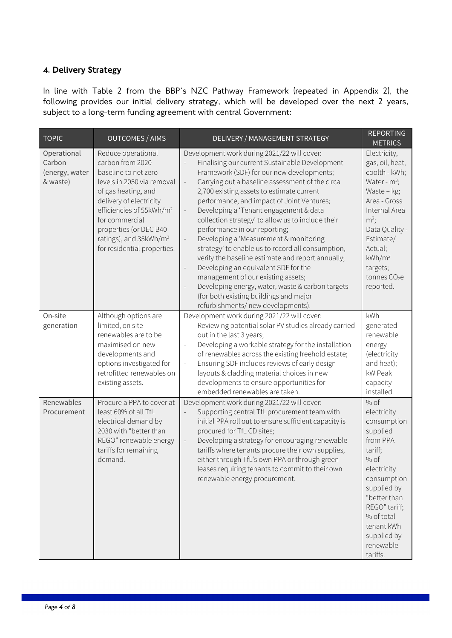#### 4. Delivery Strategy

In line with Table 2 from the BBP's NZC Pathway Framework (repeated in Appendix 2), the following provides our initial delivery strategy, which will be developed over the next 2 years, subject to a long-term funding agreement with central Government:

| <b>TOPIC</b>                                        | <b>OUTCOMES / AIMS</b>                                                                                                                                                                                                                                                                                  | DELIVERY / MANAGEMENT STRATEGY                                                                                                                                                                                                                                                                                                                                                                                                                                                                                                                                                                                                                                                                                                                                                                                                                                                            | <b>REPORTING</b><br><b>METRICS</b>                                                                                                                                                                                                       |
|-----------------------------------------------------|---------------------------------------------------------------------------------------------------------------------------------------------------------------------------------------------------------------------------------------------------------------------------------------------------------|-------------------------------------------------------------------------------------------------------------------------------------------------------------------------------------------------------------------------------------------------------------------------------------------------------------------------------------------------------------------------------------------------------------------------------------------------------------------------------------------------------------------------------------------------------------------------------------------------------------------------------------------------------------------------------------------------------------------------------------------------------------------------------------------------------------------------------------------------------------------------------------------|------------------------------------------------------------------------------------------------------------------------------------------------------------------------------------------------------------------------------------------|
| Operational<br>Carbon<br>(energy, water<br>& waste) | Reduce operational<br>carbon from 2020<br>baseline to net zero<br>levels in 2050 via removal<br>of gas heating, and<br>delivery of electricity<br>efficiencies of 55kWh/m <sup>2</sup><br>for commercial<br>properties (or DEC B40<br>ratings), and 35kWh/m <sup>2</sup><br>for residential properties. | Development work during 2021/22 will cover:<br>Finalising our current Sustainable Development<br>Framework (SDF) for our new developments;<br>Carrying out a baseline assessment of the circa<br>$\frac{1}{2}$<br>2,700 existing assets to estimate current<br>performance, and impact of Joint Ventures;<br>Developing a 'Tenant engagement & data<br>$\overline{\phantom{a}}$<br>collection strategy' to allow us to include their<br>performance in our reporting;<br>Developing a 'Measurement & monitoring<br>$\overline{\phantom{a}}$<br>strategy' to enable us to record all consumption,<br>verify the baseline estimate and report annually;<br>Developing an equivalent SDF for the<br>$\blacksquare$<br>management of our existing assets;<br>Developing energy, water, waste & carbon targets<br>(for both existing buildings and major<br>refurbishments/ new developments). | Electricity,<br>gas, oil, heat,<br>coolth - kWh;<br>Water - $m^3$ ;<br>Waste - kg;<br>Area - Gross<br>Internal Area<br>$m^2$ ;<br>Data Quality -<br>Estimate/<br>Actual;<br>kWh/m <sup>2</sup><br>targets;<br>tonnes $CO2e$<br>reported. |
| On-site<br>generation                               | Although options are<br>limited, on site<br>renewables are to be<br>maximised on new<br>developments and<br>options investigated for<br>retrofitted renewables on<br>existing assets.                                                                                                                   | Development work during 2021/22 will cover:<br>Reviewing potential solar PV studies already carried<br>out in the last 3 years;<br>Developing a workable strategy for the installation<br>$\overline{a}$<br>of renewables across the existing freehold estate;<br>Ensuring SDF includes reviews of early design<br>$\frac{1}{2}$<br>layouts & cladding material choices in new<br>developments to ensure opportunities for<br>embedded renewables are taken.                                                                                                                                                                                                                                                                                                                                                                                                                              | kWh<br>generated<br>renewable<br>energy<br>(electricity<br>and heat);<br>kW Peak<br>capacity<br>installed.                                                                                                                               |
| Renewables<br>Procurement                           | Procure a PPA to cover at<br>least 60% of all TfL<br>electrical demand by<br>2030 with "better than<br>REGO" renewable energy<br>tariffs for remaining<br>demand.                                                                                                                                       | Development work during 2021/22 will cover:<br>Supporting central TfL procurement team with<br>initial PPA roll out to ensure sufficient capacity is<br>procured for TfL CD sites;<br>Developing a strategy for encouraging renewable<br>$\overline{a}$<br>tariffs where tenants procure their own supplies,<br>either through TfL's own PPA or through green<br>leases requiring tenants to commit to their own<br>renewable energy procurement.                                                                                                                                                                                                                                                                                                                                                                                                                                         | $%$ of<br>electricity<br>consumption<br>supplied<br>from PPA<br>tariff;<br>$%$ of<br>electricity<br>consumption<br>supplied by<br>"better than<br>REGO" tariff;<br>% of total<br>tenant kWh<br>supplied by<br>renewable<br>tariffs.      |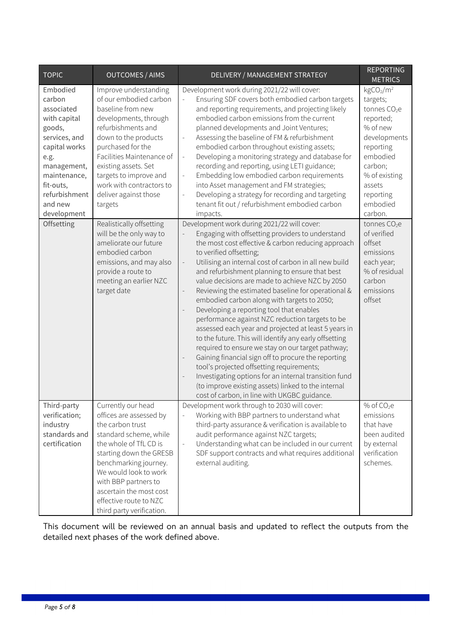| <b>TOPIC</b>                                                                                                                                                                                | <b>OUTCOMES / AIMS</b>                                                                                                                                                                                                                                                                                          | DELIVERY / MANAGEMENT STRATEGY                                                                                                                                                                                                                                                                                                                                                                                                                                                                                                                                                                                                                                                                                                                                                                                                                                                                                                                                                                                                                         | <b>REPORTING</b><br><b>METRICS</b>                                                                                                                                                                                    |
|---------------------------------------------------------------------------------------------------------------------------------------------------------------------------------------------|-----------------------------------------------------------------------------------------------------------------------------------------------------------------------------------------------------------------------------------------------------------------------------------------------------------------|--------------------------------------------------------------------------------------------------------------------------------------------------------------------------------------------------------------------------------------------------------------------------------------------------------------------------------------------------------------------------------------------------------------------------------------------------------------------------------------------------------------------------------------------------------------------------------------------------------------------------------------------------------------------------------------------------------------------------------------------------------------------------------------------------------------------------------------------------------------------------------------------------------------------------------------------------------------------------------------------------------------------------------------------------------|-----------------------------------------------------------------------------------------------------------------------------------------------------------------------------------------------------------------------|
| Embodied<br>carbon<br>associated<br>with capital<br>goods,<br>services, and<br>capital works<br>e.g.<br>management,<br>maintenance,<br>fit-outs,<br>refurbishment<br>and new<br>development | Improve understanding<br>of our embodied carbon<br>baseline from new<br>developments, through<br>refurbishments and<br>down to the products<br>purchased for the<br>Facilities Maintenance of<br>existing assets. Set<br>targets to improve and<br>work with contractors to<br>deliver against those<br>targets | Development work during 2021/22 will cover:<br>Ensuring SDF covers both embodied carbon targets<br>and reporting requirements, and projecting likely<br>embodied carbon emissions from the current<br>planned developments and Joint Ventures;<br>Assessing the baseline of FM & refurbishment<br>$\overline{\phantom{a}}$<br>embodied carbon throughout existing assets;<br>Developing a monitoring strategy and database for<br>$\bar{\phantom{a}}$<br>recording and reporting, using LETI guidance;<br>Embedding low embodied carbon requirements<br>$\blacksquare$<br>into Asset management and FM strategies;<br>Developing a strategy for recording and targeting<br>$\Box$<br>tenant fit out / refurbishment embodied carbon<br>impacts.                                                                                                                                                                                                                                                                                                        | kgCO <sub>2</sub> /m <sup>2</sup><br>targets;<br>tonnes CO <sub>2</sub> e<br>reported;<br>% of new<br>developments<br>reporting<br>embodied<br>carbon;<br>% of existing<br>assets<br>reporting<br>embodied<br>carbon. |
| Offsetting                                                                                                                                                                                  | Realistically offsetting<br>will be the only way to<br>ameliorate our future<br>embodied carbon<br>emissions, and may also<br>provide a route to<br>meeting an earlier NZC<br>target date                                                                                                                       | Development work during 2021/22 will cover:<br>Engaging with offsetting providers to understand<br>the most cost effective & carbon reducing approach<br>to verified offsetting;<br>Utilising an internal cost of carbon in all new build<br>$\blacksquare$<br>and refurbishment planning to ensure that best<br>value decisions are made to achieve NZC by 2050<br>Reviewing the estimated baseline for operational &<br>embodied carbon along with targets to 2050;<br>Developing a reporting tool that enables<br>$\qquad \qquad -$<br>performance against NZC reduction targets to be<br>assessed each year and projected at least 5 years in<br>to the future. This will identify any early offsetting<br>required to ensure we stay on our target pathway;<br>Gaining financial sign off to procure the reporting<br>$\blacksquare$<br>tool's projected offsetting requirements;<br>Investigating options for an internal transition fund<br>(to improve existing assets) linked to the internal<br>cost of carbon, in line with UKGBC guidance. | tonnes CO <sub>2</sub> e<br>of verified<br>offset<br>emissions<br>each year;<br>% of residual<br>carbon<br>emissions<br>offset                                                                                        |
| Third-party<br>verification;<br>industry<br>standards and<br>certification                                                                                                                  | Currently our head<br>offices are assessed by<br>the carbon trust<br>standard scheme, while<br>the whole of TfL CD is<br>starting down the GRESB<br>benchmarking journey.<br>We would look to work<br>with BBP partners to<br>ascertain the most cost<br>effective route to NZC<br>third party verification.    | Development work through to 2030 will cover:<br>Working with BBP partners to understand what<br>third-party assurance & verification is available to<br>audit performance against NZC targets;<br>Understanding what can be included in our current<br>$\Box$<br>SDF support contracts and what requires additional<br>external auditing.                                                                                                                                                                                                                                                                                                                                                                                                                                                                                                                                                                                                                                                                                                              | $%$ of CO <sub>2</sub> e<br>emissions<br>that have<br>been audited<br>by external<br>verification<br>schemes.                                                                                                         |

This document will be reviewed on an annual basis and updated to reflect the outputs from the detailed next phases of the work defined above.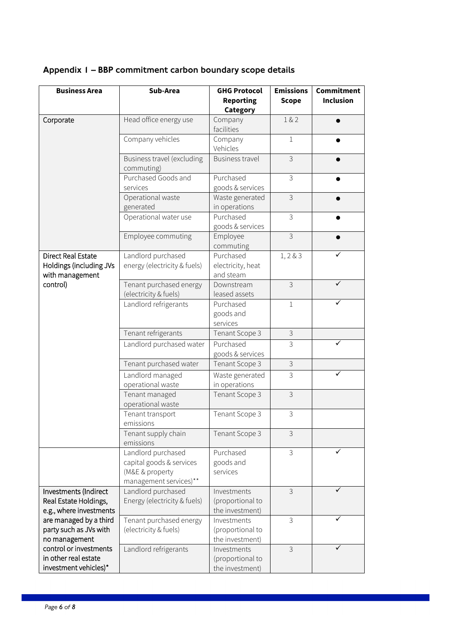| Category<br>Head office energy use<br>1&2<br>Corporate<br>Company<br>facilities<br>Company vehicles<br>Company<br>$\mathbf{1}$<br>Vehicles<br>3<br>Business travel (excluding<br>Business travel<br>commuting)<br>Purchased<br>Purchased Goods and<br>3<br>goods & services<br>services<br>3<br>Operational waste<br>Waste generated<br>generated<br>in operations<br>3<br>Operational water use<br>Purchased<br>goods & services<br>3<br>Employee<br>Employee commuting<br>commuting<br>Landlord purchased<br>Direct Real Estate<br>Purchased<br>1, 2 & 3<br>electricity, heat<br>Holdings (including JVs<br>energy (electricity & fuels)<br>with management<br>and steam<br>control)<br>3<br>Tenant purchased energy<br>Downstream<br>(electricity & fuels)<br>leased assets<br>Landlord refrigerants<br>Purchased<br>$\mathbf 1$<br>goods and<br>services<br>3<br>Tenant refrigerants<br>Tenant Scope 3<br>Purchased<br>Landlord purchased water<br>3<br>goods & services<br>$\mathfrak{Z}$<br>Tenant Scope 3<br>Tenant purchased water<br>Landlord managed<br>Waste generated<br>3<br>in operations<br>operational waste<br>Tenant managed<br>Tenant Scope 3<br>3<br>operational waste<br>3<br>Tenant Scope 3<br>Tenant transport<br>emissions<br>3<br>Tenant Scope 3<br>Tenant supply chain<br>emissions<br>3<br>Landlord purchased<br>Purchased<br>capital goods & services<br>goods and<br>(M&E & property<br>services<br>management services)**<br>Landlord purchased<br>3<br>✓<br>Investments (Indirect<br>Investments<br>Energy (electricity & fuels)<br>Real Estate Holdings,<br>(proportional to<br>e.g., where investments<br>the investment)<br>are managed by a third<br>Tenant purchased energy<br>Investments<br>3<br>party such as JVs with<br>(electricity & fuels)<br>(proportional to<br>no management<br>the investment)<br>control or investments<br>Landlord refrigerants<br>Investments<br>3<br>in other real estate<br>(proportional to<br>investment vehicles)*<br>the investment) | <b>Business Area</b> | Sub-Area | <b>GHG Protocol</b> | <b>Emissions</b> | <b>Commitment</b> |
|---------------------------------------------------------------------------------------------------------------------------------------------------------------------------------------------------------------------------------------------------------------------------------------------------------------------------------------------------------------------------------------------------------------------------------------------------------------------------------------------------------------------------------------------------------------------------------------------------------------------------------------------------------------------------------------------------------------------------------------------------------------------------------------------------------------------------------------------------------------------------------------------------------------------------------------------------------------------------------------------------------------------------------------------------------------------------------------------------------------------------------------------------------------------------------------------------------------------------------------------------------------------------------------------------------------------------------------------------------------------------------------------------------------------------------------------------------------------------------------------------------------------------------------------------------------------------------------------------------------------------------------------------------------------------------------------------------------------------------------------------------------------------------------------------------------------------------------------------------------------------------------------------------------------------------------------------------------------------------------------------------------|----------------------|----------|---------------------|------------------|-------------------|
|                                                                                                                                                                                                                                                                                                                                                                                                                                                                                                                                                                                                                                                                                                                                                                                                                                                                                                                                                                                                                                                                                                                                                                                                                                                                                                                                                                                                                                                                                                                                                                                                                                                                                                                                                                                                                                                                                                                                                                                                               |                      |          | <b>Reporting</b>    | <b>Scope</b>     | <b>Inclusion</b>  |
|                                                                                                                                                                                                                                                                                                                                                                                                                                                                                                                                                                                                                                                                                                                                                                                                                                                                                                                                                                                                                                                                                                                                                                                                                                                                                                                                                                                                                                                                                                                                                                                                                                                                                                                                                                                                                                                                                                                                                                                                               |                      |          |                     |                  |                   |
|                                                                                                                                                                                                                                                                                                                                                                                                                                                                                                                                                                                                                                                                                                                                                                                                                                                                                                                                                                                                                                                                                                                                                                                                                                                                                                                                                                                                                                                                                                                                                                                                                                                                                                                                                                                                                                                                                                                                                                                                               |                      |          |                     |                  |                   |
|                                                                                                                                                                                                                                                                                                                                                                                                                                                                                                                                                                                                                                                                                                                                                                                                                                                                                                                                                                                                                                                                                                                                                                                                                                                                                                                                                                                                                                                                                                                                                                                                                                                                                                                                                                                                                                                                                                                                                                                                               |                      |          |                     |                  |                   |
|                                                                                                                                                                                                                                                                                                                                                                                                                                                                                                                                                                                                                                                                                                                                                                                                                                                                                                                                                                                                                                                                                                                                                                                                                                                                                                                                                                                                                                                                                                                                                                                                                                                                                                                                                                                                                                                                                                                                                                                                               |                      |          |                     |                  |                   |
|                                                                                                                                                                                                                                                                                                                                                                                                                                                                                                                                                                                                                                                                                                                                                                                                                                                                                                                                                                                                                                                                                                                                                                                                                                                                                                                                                                                                                                                                                                                                                                                                                                                                                                                                                                                                                                                                                                                                                                                                               |                      |          |                     |                  |                   |
|                                                                                                                                                                                                                                                                                                                                                                                                                                                                                                                                                                                                                                                                                                                                                                                                                                                                                                                                                                                                                                                                                                                                                                                                                                                                                                                                                                                                                                                                                                                                                                                                                                                                                                                                                                                                                                                                                                                                                                                                               |                      |          |                     |                  |                   |
|                                                                                                                                                                                                                                                                                                                                                                                                                                                                                                                                                                                                                                                                                                                                                                                                                                                                                                                                                                                                                                                                                                                                                                                                                                                                                                                                                                                                                                                                                                                                                                                                                                                                                                                                                                                                                                                                                                                                                                                                               |                      |          |                     |                  |                   |
|                                                                                                                                                                                                                                                                                                                                                                                                                                                                                                                                                                                                                                                                                                                                                                                                                                                                                                                                                                                                                                                                                                                                                                                                                                                                                                                                                                                                                                                                                                                                                                                                                                                                                                                                                                                                                                                                                                                                                                                                               |                      |          |                     |                  |                   |
|                                                                                                                                                                                                                                                                                                                                                                                                                                                                                                                                                                                                                                                                                                                                                                                                                                                                                                                                                                                                                                                                                                                                                                                                                                                                                                                                                                                                                                                                                                                                                                                                                                                                                                                                                                                                                                                                                                                                                                                                               |                      |          |                     |                  |                   |
|                                                                                                                                                                                                                                                                                                                                                                                                                                                                                                                                                                                                                                                                                                                                                                                                                                                                                                                                                                                                                                                                                                                                                                                                                                                                                                                                                                                                                                                                                                                                                                                                                                                                                                                                                                                                                                                                                                                                                                                                               |                      |          |                     |                  |                   |
|                                                                                                                                                                                                                                                                                                                                                                                                                                                                                                                                                                                                                                                                                                                                                                                                                                                                                                                                                                                                                                                                                                                                                                                                                                                                                                                                                                                                                                                                                                                                                                                                                                                                                                                                                                                                                                                                                                                                                                                                               |                      |          |                     |                  |                   |
|                                                                                                                                                                                                                                                                                                                                                                                                                                                                                                                                                                                                                                                                                                                                                                                                                                                                                                                                                                                                                                                                                                                                                                                                                                                                                                                                                                                                                                                                                                                                                                                                                                                                                                                                                                                                                                                                                                                                                                                                               |                      |          |                     |                  |                   |
|                                                                                                                                                                                                                                                                                                                                                                                                                                                                                                                                                                                                                                                                                                                                                                                                                                                                                                                                                                                                                                                                                                                                                                                                                                                                                                                                                                                                                                                                                                                                                                                                                                                                                                                                                                                                                                                                                                                                                                                                               |                      |          |                     |                  |                   |
|                                                                                                                                                                                                                                                                                                                                                                                                                                                                                                                                                                                                                                                                                                                                                                                                                                                                                                                                                                                                                                                                                                                                                                                                                                                                                                                                                                                                                                                                                                                                                                                                                                                                                                                                                                                                                                                                                                                                                                                                               |                      |          |                     |                  |                   |
|                                                                                                                                                                                                                                                                                                                                                                                                                                                                                                                                                                                                                                                                                                                                                                                                                                                                                                                                                                                                                                                                                                                                                                                                                                                                                                                                                                                                                                                                                                                                                                                                                                                                                                                                                                                                                                                                                                                                                                                                               |                      |          |                     |                  |                   |
|                                                                                                                                                                                                                                                                                                                                                                                                                                                                                                                                                                                                                                                                                                                                                                                                                                                                                                                                                                                                                                                                                                                                                                                                                                                                                                                                                                                                                                                                                                                                                                                                                                                                                                                                                                                                                                                                                                                                                                                                               |                      |          |                     |                  |                   |
|                                                                                                                                                                                                                                                                                                                                                                                                                                                                                                                                                                                                                                                                                                                                                                                                                                                                                                                                                                                                                                                                                                                                                                                                                                                                                                                                                                                                                                                                                                                                                                                                                                                                                                                                                                                                                                                                                                                                                                                                               |                      |          |                     |                  |                   |
|                                                                                                                                                                                                                                                                                                                                                                                                                                                                                                                                                                                                                                                                                                                                                                                                                                                                                                                                                                                                                                                                                                                                                                                                                                                                                                                                                                                                                                                                                                                                                                                                                                                                                                                                                                                                                                                                                                                                                                                                               |                      |          |                     |                  |                   |
|                                                                                                                                                                                                                                                                                                                                                                                                                                                                                                                                                                                                                                                                                                                                                                                                                                                                                                                                                                                                                                                                                                                                                                                                                                                                                                                                                                                                                                                                                                                                                                                                                                                                                                                                                                                                                                                                                                                                                                                                               |                      |          |                     |                  |                   |
|                                                                                                                                                                                                                                                                                                                                                                                                                                                                                                                                                                                                                                                                                                                                                                                                                                                                                                                                                                                                                                                                                                                                                                                                                                                                                                                                                                                                                                                                                                                                                                                                                                                                                                                                                                                                                                                                                                                                                                                                               |                      |          |                     |                  |                   |
|                                                                                                                                                                                                                                                                                                                                                                                                                                                                                                                                                                                                                                                                                                                                                                                                                                                                                                                                                                                                                                                                                                                                                                                                                                                                                                                                                                                                                                                                                                                                                                                                                                                                                                                                                                                                                                                                                                                                                                                                               |                      |          |                     |                  |                   |
|                                                                                                                                                                                                                                                                                                                                                                                                                                                                                                                                                                                                                                                                                                                                                                                                                                                                                                                                                                                                                                                                                                                                                                                                                                                                                                                                                                                                                                                                                                                                                                                                                                                                                                                                                                                                                                                                                                                                                                                                               |                      |          |                     |                  |                   |
|                                                                                                                                                                                                                                                                                                                                                                                                                                                                                                                                                                                                                                                                                                                                                                                                                                                                                                                                                                                                                                                                                                                                                                                                                                                                                                                                                                                                                                                                                                                                                                                                                                                                                                                                                                                                                                                                                                                                                                                                               |                      |          |                     |                  |                   |
|                                                                                                                                                                                                                                                                                                                                                                                                                                                                                                                                                                                                                                                                                                                                                                                                                                                                                                                                                                                                                                                                                                                                                                                                                                                                                                                                                                                                                                                                                                                                                                                                                                                                                                                                                                                                                                                                                                                                                                                                               |                      |          |                     |                  |                   |
|                                                                                                                                                                                                                                                                                                                                                                                                                                                                                                                                                                                                                                                                                                                                                                                                                                                                                                                                                                                                                                                                                                                                                                                                                                                                                                                                                                                                                                                                                                                                                                                                                                                                                                                                                                                                                                                                                                                                                                                                               |                      |          |                     |                  |                   |
|                                                                                                                                                                                                                                                                                                                                                                                                                                                                                                                                                                                                                                                                                                                                                                                                                                                                                                                                                                                                                                                                                                                                                                                                                                                                                                                                                                                                                                                                                                                                                                                                                                                                                                                                                                                                                                                                                                                                                                                                               |                      |          |                     |                  |                   |
|                                                                                                                                                                                                                                                                                                                                                                                                                                                                                                                                                                                                                                                                                                                                                                                                                                                                                                                                                                                                                                                                                                                                                                                                                                                                                                                                                                                                                                                                                                                                                                                                                                                                                                                                                                                                                                                                                                                                                                                                               |                      |          |                     |                  |                   |
|                                                                                                                                                                                                                                                                                                                                                                                                                                                                                                                                                                                                                                                                                                                                                                                                                                                                                                                                                                                                                                                                                                                                                                                                                                                                                                                                                                                                                                                                                                                                                                                                                                                                                                                                                                                                                                                                                                                                                                                                               |                      |          |                     |                  |                   |
|                                                                                                                                                                                                                                                                                                                                                                                                                                                                                                                                                                                                                                                                                                                                                                                                                                                                                                                                                                                                                                                                                                                                                                                                                                                                                                                                                                                                                                                                                                                                                                                                                                                                                                                                                                                                                                                                                                                                                                                                               |                      |          |                     |                  |                   |
|                                                                                                                                                                                                                                                                                                                                                                                                                                                                                                                                                                                                                                                                                                                                                                                                                                                                                                                                                                                                                                                                                                                                                                                                                                                                                                                                                                                                                                                                                                                                                                                                                                                                                                                                                                                                                                                                                                                                                                                                               |                      |          |                     |                  |                   |
|                                                                                                                                                                                                                                                                                                                                                                                                                                                                                                                                                                                                                                                                                                                                                                                                                                                                                                                                                                                                                                                                                                                                                                                                                                                                                                                                                                                                                                                                                                                                                                                                                                                                                                                                                                                                                                                                                                                                                                                                               |                      |          |                     |                  |                   |
|                                                                                                                                                                                                                                                                                                                                                                                                                                                                                                                                                                                                                                                                                                                                                                                                                                                                                                                                                                                                                                                                                                                                                                                                                                                                                                                                                                                                                                                                                                                                                                                                                                                                                                                                                                                                                                                                                                                                                                                                               |                      |          |                     |                  |                   |
|                                                                                                                                                                                                                                                                                                                                                                                                                                                                                                                                                                                                                                                                                                                                                                                                                                                                                                                                                                                                                                                                                                                                                                                                                                                                                                                                                                                                                                                                                                                                                                                                                                                                                                                                                                                                                                                                                                                                                                                                               |                      |          |                     |                  |                   |
|                                                                                                                                                                                                                                                                                                                                                                                                                                                                                                                                                                                                                                                                                                                                                                                                                                                                                                                                                                                                                                                                                                                                                                                                                                                                                                                                                                                                                                                                                                                                                                                                                                                                                                                                                                                                                                                                                                                                                                                                               |                      |          |                     |                  |                   |
|                                                                                                                                                                                                                                                                                                                                                                                                                                                                                                                                                                                                                                                                                                                                                                                                                                                                                                                                                                                                                                                                                                                                                                                                                                                                                                                                                                                                                                                                                                                                                                                                                                                                                                                                                                                                                                                                                                                                                                                                               |                      |          |                     |                  |                   |
|                                                                                                                                                                                                                                                                                                                                                                                                                                                                                                                                                                                                                                                                                                                                                                                                                                                                                                                                                                                                                                                                                                                                                                                                                                                                                                                                                                                                                                                                                                                                                                                                                                                                                                                                                                                                                                                                                                                                                                                                               |                      |          |                     |                  |                   |
|                                                                                                                                                                                                                                                                                                                                                                                                                                                                                                                                                                                                                                                                                                                                                                                                                                                                                                                                                                                                                                                                                                                                                                                                                                                                                                                                                                                                                                                                                                                                                                                                                                                                                                                                                                                                                                                                                                                                                                                                               |                      |          |                     |                  |                   |
|                                                                                                                                                                                                                                                                                                                                                                                                                                                                                                                                                                                                                                                                                                                                                                                                                                                                                                                                                                                                                                                                                                                                                                                                                                                                                                                                                                                                                                                                                                                                                                                                                                                                                                                                                                                                                                                                                                                                                                                                               |                      |          |                     |                  |                   |
|                                                                                                                                                                                                                                                                                                                                                                                                                                                                                                                                                                                                                                                                                                                                                                                                                                                                                                                                                                                                                                                                                                                                                                                                                                                                                                                                                                                                                                                                                                                                                                                                                                                                                                                                                                                                                                                                                                                                                                                                               |                      |          |                     |                  |                   |
|                                                                                                                                                                                                                                                                                                                                                                                                                                                                                                                                                                                                                                                                                                                                                                                                                                                                                                                                                                                                                                                                                                                                                                                                                                                                                                                                                                                                                                                                                                                                                                                                                                                                                                                                                                                                                                                                                                                                                                                                               |                      |          |                     |                  |                   |
|                                                                                                                                                                                                                                                                                                                                                                                                                                                                                                                                                                                                                                                                                                                                                                                                                                                                                                                                                                                                                                                                                                                                                                                                                                                                                                                                                                                                                                                                                                                                                                                                                                                                                                                                                                                                                                                                                                                                                                                                               |                      |          |                     |                  |                   |
|                                                                                                                                                                                                                                                                                                                                                                                                                                                                                                                                                                                                                                                                                                                                                                                                                                                                                                                                                                                                                                                                                                                                                                                                                                                                                                                                                                                                                                                                                                                                                                                                                                                                                                                                                                                                                                                                                                                                                                                                               |                      |          |                     |                  |                   |
|                                                                                                                                                                                                                                                                                                                                                                                                                                                                                                                                                                                                                                                                                                                                                                                                                                                                                                                                                                                                                                                                                                                                                                                                                                                                                                                                                                                                                                                                                                                                                                                                                                                                                                                                                                                                                                                                                                                                                                                                               |                      |          |                     |                  |                   |
|                                                                                                                                                                                                                                                                                                                                                                                                                                                                                                                                                                                                                                                                                                                                                                                                                                                                                                                                                                                                                                                                                                                                                                                                                                                                                                                                                                                                                                                                                                                                                                                                                                                                                                                                                                                                                                                                                                                                                                                                               |                      |          |                     |                  |                   |

## Appendix 1 – BBP commitment carbon boundary scope details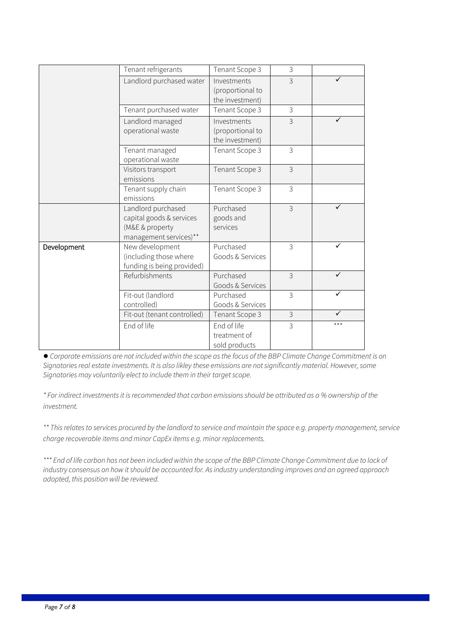|             | Tenant refrigerants                                                                         | Tenant Scope 3                                     | 3              |     |
|-------------|---------------------------------------------------------------------------------------------|----------------------------------------------------|----------------|-----|
|             | Landlord purchased water                                                                    | Investments<br>(proportional to<br>the investment) | $\overline{3}$ | ✓   |
|             | Tenant purchased water                                                                      | Tenant Scope 3                                     | $\mathfrak{Z}$ |     |
|             | Landlord managed<br>operational waste                                                       | Investments<br>(proportional to<br>the investment) | $\mathcal{S}$  |     |
|             | Tenant managed<br>operational waste                                                         | Tenant Scope 3                                     | 3              |     |
|             | Visitors transport<br>emissions                                                             | Tenant Scope 3                                     | $\mathcal{S}$  |     |
|             | Tenant supply chain<br>emissions                                                            | Tenant Scope 3                                     | 3              |     |
|             | Landlord purchased<br>capital goods & services<br>(M&E & property<br>management services)** | Purchased<br>goods and<br>services                 | $\mathcal{S}$  |     |
| Development | New development<br>(including those where<br>funding is being provided)                     | Purchased<br>Goods & Services                      | $\mathfrak{Z}$ |     |
|             | Refurbishments                                                                              | Purchased<br>Goods & Services                      | 3              |     |
|             | Fit-out (landlord<br>controlled)                                                            | Purchased<br>Goods & Services                      | 3              |     |
|             | Fit-out (tenant controlled)                                                                 | Tenant Scope 3                                     | 3              |     |
|             | End of life                                                                                 | End of life<br>treatment of<br>sold products       | 3              | *** |

● *Corporate emissions are not included within the scope as the focus of the BBP Climate Change Commitment is on Signatories real estate investments. It is also likley these emissions are not significantly material. However, some Signatories may voluntarily elect to include them in their target scope.* 

*\* For indirect investments it is recommended that carbon emissions should be attributed as a % ownership of the investment.*

*\*\* This relates to services procured by the landlord to service and maintain the space e.g. property management, service charge recoverable items and minor CapEx items e.g. minor replacements.*

*\*\*\* End of life carbon has not been included within the scope of the BBP Climate Change Commitment due to lack of industry consensus on how it should be accounted for. As industry understanding improves and an agreed approach adopted, this position will be reviewed.*